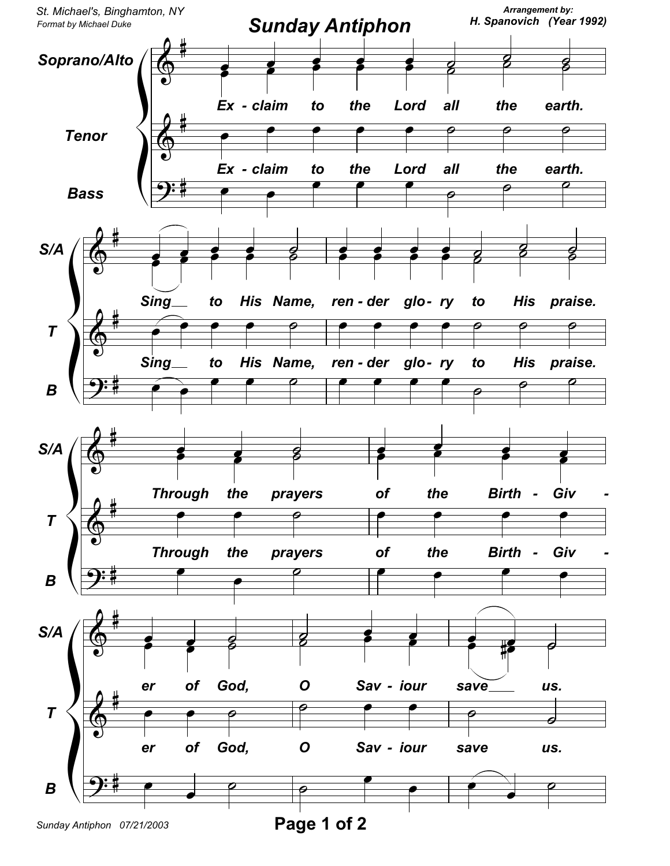